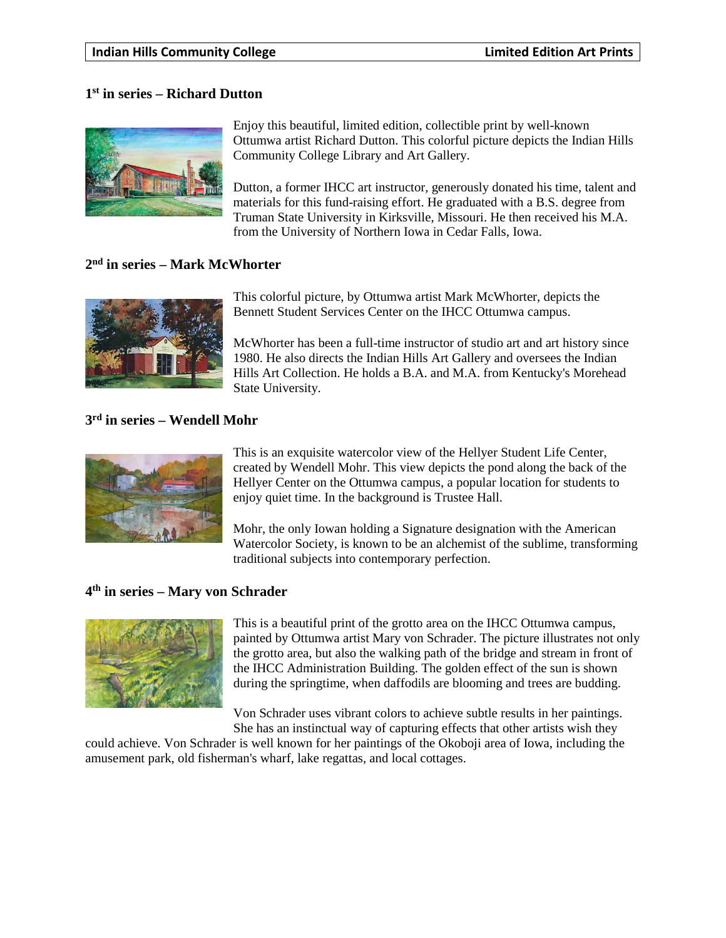## **1st in series – Richard Dutton**



Enjoy this beautiful, limited edition, collectible print by well-known Ottumwa artist Richard Dutton. This colorful picture depicts the Indian Hills Community College Library and Art Gallery.

Dutton, a former IHCC art instructor, generously donated his time, talent and materials for this fund-raising effort. He graduated with a B.S. degree from Truman State University in Kirksville, Missouri. He then received his M.A. from the University of Northern Iowa in Cedar Falls, Iowa.

#### **2nd in series – Mark McWhorter**



This colorful picture, by Ottumwa artist Mark McWhorter, depicts the Bennett Student Services Center on the IHCC Ottumwa campus.

McWhorter has been a full-time instructor of studio art and art history since 1980. He also directs the Indian Hills Art Gallery and oversees the Indian Hills Art Collection. He holds a B.A. and M.A. from Kentucky's Morehead State University.

## **3rd in series – Wendell Mohr**



This is an exquisite watercolor view of the Hellyer Student Life Center, created by Wendell Mohr. This view depicts the pond along the back of the Hellyer Center on the Ottumwa campus, a popular location for students to enjoy quiet time. In the background is Trustee Hall.

Mohr, the only Iowan holding a Signature designation with the American Watercolor Society, is known to be an alchemist of the sublime, transforming traditional subjects into contemporary perfection.

#### **4th in series – Mary von Schrader**



This is a beautiful print of the grotto area on the IHCC Ottumwa campus, painted by Ottumwa artist Mary von Schrader. The picture illustrates not only the grotto area, but also the walking path of the bridge and stream in front of the IHCC Administration Building. The golden effect of the sun is shown during the springtime, when daffodils are blooming and trees are budding.

Von Schrader uses vibrant colors to achieve subtle results in her paintings. She has an instinctual way of capturing effects that other artists wish they

could achieve. Von Schrader is well known for her paintings of the Okoboji area of Iowa, including the amusement park, old fisherman's wharf, lake regattas, and local cottages.